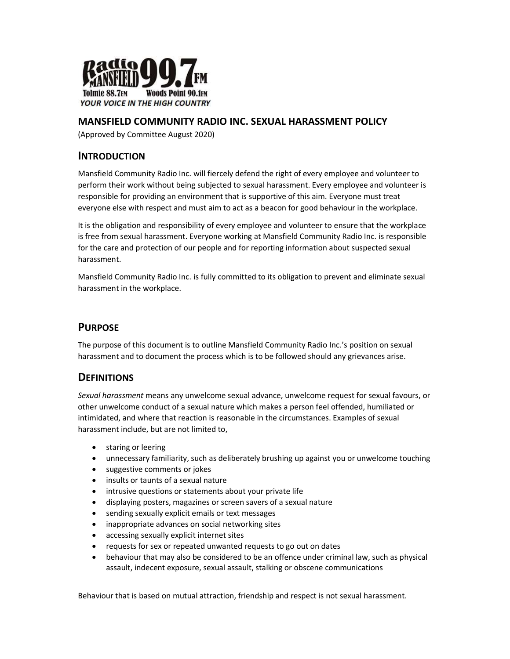

### MANSFIELD COMMUNITY RADIO INC. SEXUAL HARASSMENT POLICY

(Approved by Committee August 2020)

## INTRODUCTION

Mansfield Community Radio Inc. will fiercely defend the right of every employee and volunteer to perform their work without being subjected to sexual harassment. Every employee and volunteer is responsible for providing an environment that is supportive of this aim. Everyone must treat everyone else with respect and must aim to act as a beacon for good behaviour in the workplace.

It is the obligation and responsibility of every employee and volunteer to ensure that the workplace is free from sexual harassment. Everyone working at Mansfield Community Radio Inc. is responsible for the care and protection of our people and for reporting information about suspected sexual harassment.

Mansfield Community Radio Inc. is fully committed to its obligation to prevent and eliminate sexual harassment in the workplace.

#### **PURPOSE**

The purpose of this document is to outline Mansfield Community Radio Inc.'s position on sexual harassment and to document the process which is to be followed should any grievances arise.

## **DEFINITIONS**

Sexual harassment means any unwelcome sexual advance, unwelcome request for sexual favours, or other unwelcome conduct of a sexual nature which makes a person feel offended, humiliated or intimidated, and where that reaction is reasonable in the circumstances. Examples of sexual harassment include, but are not limited to,

- **•** staring or leering
- unnecessary familiarity, such as deliberately brushing up against you or unwelcome touching
- suggestive comments or jokes
- insults or taunts of a sexual nature
- intrusive questions or statements about your private life
- displaying posters, magazines or screen savers of a sexual nature
- sending sexually explicit emails or text messages
- inappropriate advances on social networking sites
- accessing sexually explicit internet sites
- requests for sex or repeated unwanted requests to go out on dates
- behaviour that may also be considered to be an offence under criminal law, such as physical assault, indecent exposure, sexual assault, stalking or obscene communications

Behaviour that is based on mutual attraction, friendship and respect is not sexual harassment.